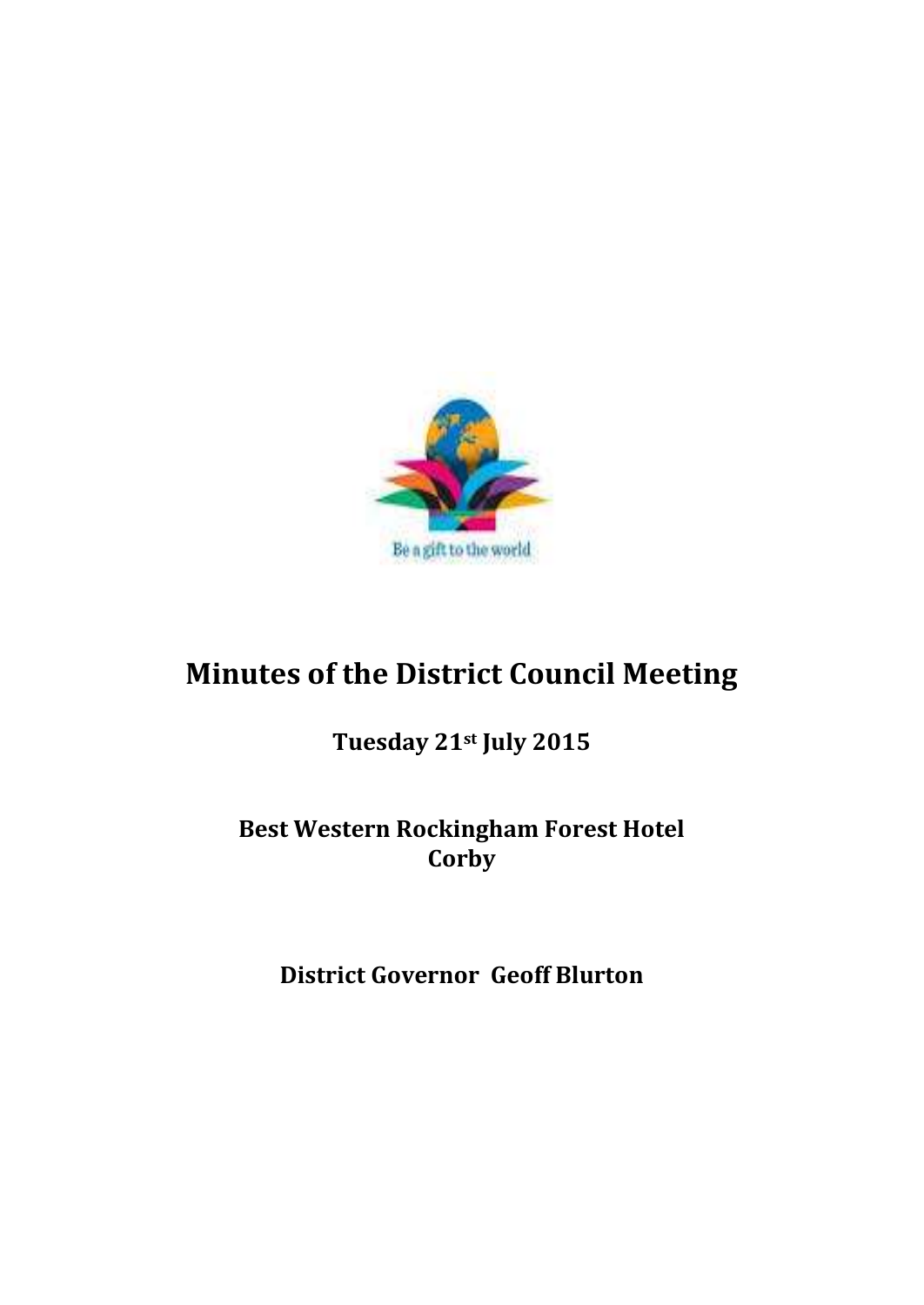

# **Minutes of the District Council Meeting**

## **Tuesday 21st July 2015**

### **Best Western Rockingham Forest Hotel Corby**

**District Governor Geoff Blurton**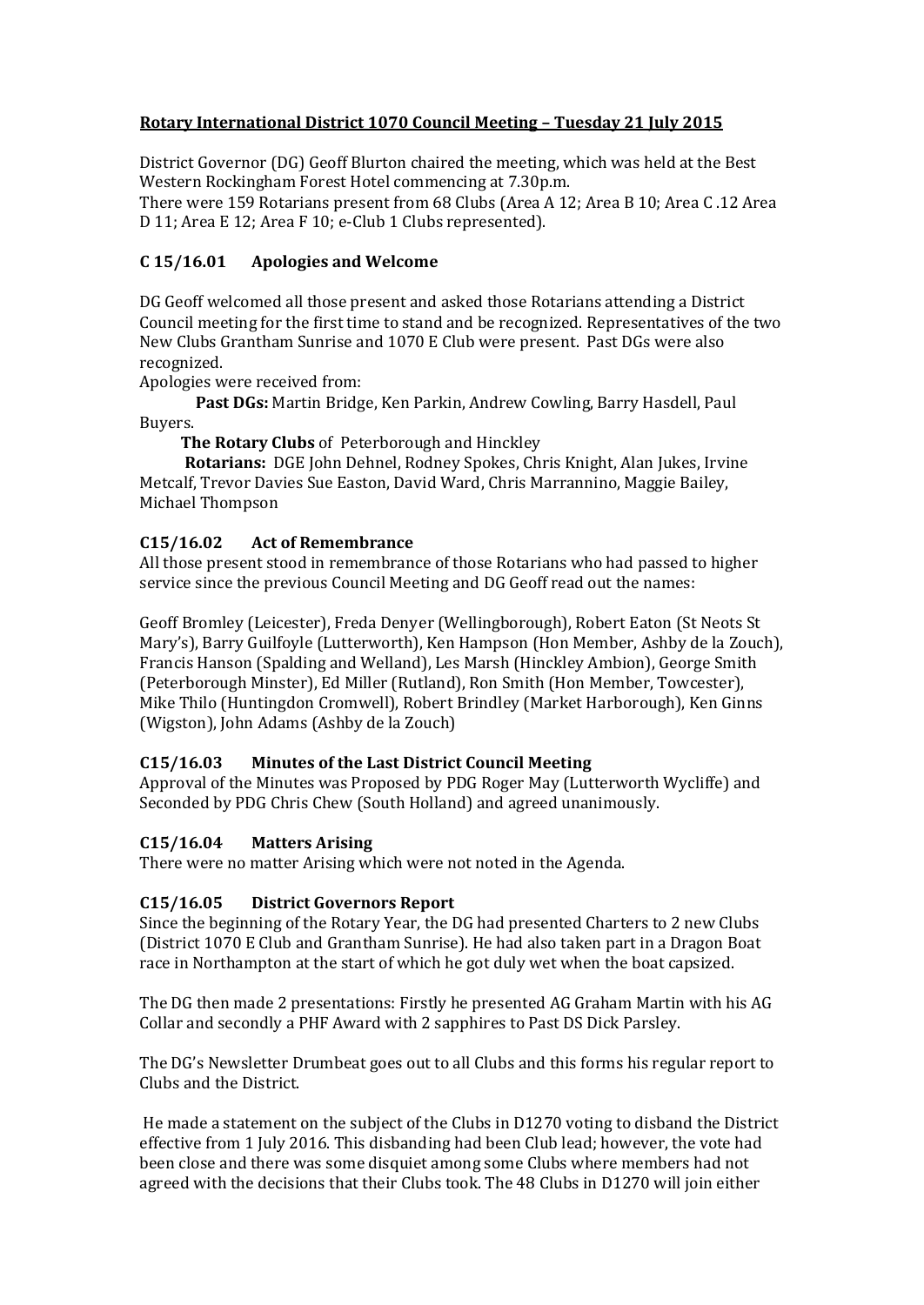#### **Rotary International District 1070 Council Meeting – Tuesday 21 July 2015**

District Governor (DG) Geoff Blurton chaired the meeting, which was held at the Best Western Rockingham Forest Hotel commencing at 7.30p.m.

There were 159 Rotarians present from 68 Clubs (Area A 12; Area B 10; Area C .12 Area D 11; Area E 12; Area F 10; e-Club 1 Clubs represented).

#### **C 15/16.01 Apologies and Welcome**

DG Geoff welcomed all those present and asked those Rotarians attending a District Council meeting for the first time to stand and be recognized. Representatives of the two New Clubs Grantham Sunrise and 1070 E Club were present. Past DGs were also recognized.

Apologies were received from:

**Past DGs:** Martin Bridge, Ken Parkin, Andrew Cowling, Barry Hasdell, Paul Buyers.

**The Rotary Clubs** of Peterborough and Hinckley

 **Rotarians:** DGE John Dehnel, Rodney Spokes, Chris Knight, Alan Jukes, Irvine Metcalf, Trevor Davies Sue Easton, David Ward, Chris Marrannino, Maggie Bailey, Michael Thompson

#### **C15/16.02 Act of Remembrance**

All those present stood in remembrance of those Rotarians who had passed to higher service since the previous Council Meeting and DG Geoff read out the names:

Geoff Bromley (Leicester), Freda Denyer (Wellingborough), Robert Eaton (St Neots St Mary's), Barry Guilfoyle (Lutterworth), Ken Hampson (Hon Member, Ashby de la Zouch), Francis Hanson (Spalding and Welland), Les Marsh (Hinckley Ambion), George Smith (Peterborough Minster), Ed Miller (Rutland), Ron Smith (Hon Member, Towcester), Mike Thilo (Huntingdon Cromwell), Robert Brindley (Market Harborough), Ken Ginns (Wigston), John Adams (Ashby de la Zouch)

#### **C15/16.03 Minutes of the Last District Council Meeting**

Approval of the Minutes was Proposed by PDG Roger May (Lutterworth Wycliffe) and Seconded by PDG Chris Chew (South Holland) and agreed unanimously.

#### **C15/16.04 Matters Arising**

There were no matter Arising which were not noted in the Agenda.

#### **C15/16.05 District Governors Report**

Since the beginning of the Rotary Year, the DG had presented Charters to 2 new Clubs (District 1070 E Club and Grantham Sunrise). He had also taken part in a Dragon Boat race in Northampton at the start of which he got duly wet when the boat capsized.

The DG then made 2 presentations: Firstly he presented AG Graham Martin with his AG Collar and secondly a PHF Award with 2 sapphires to Past DS Dick Parsley.

The DG's Newsletter Drumbeat goes out to all Clubs and this forms his regular report to Clubs and the District.

He made a statement on the subject of the Clubs in D1270 voting to disband the District effective from 1 July 2016. This disbanding had been Club lead; however, the vote had been close and there was some disquiet among some Clubs where members had not agreed with the decisions that their Clubs took. The 48 Clubs in D1270 will join either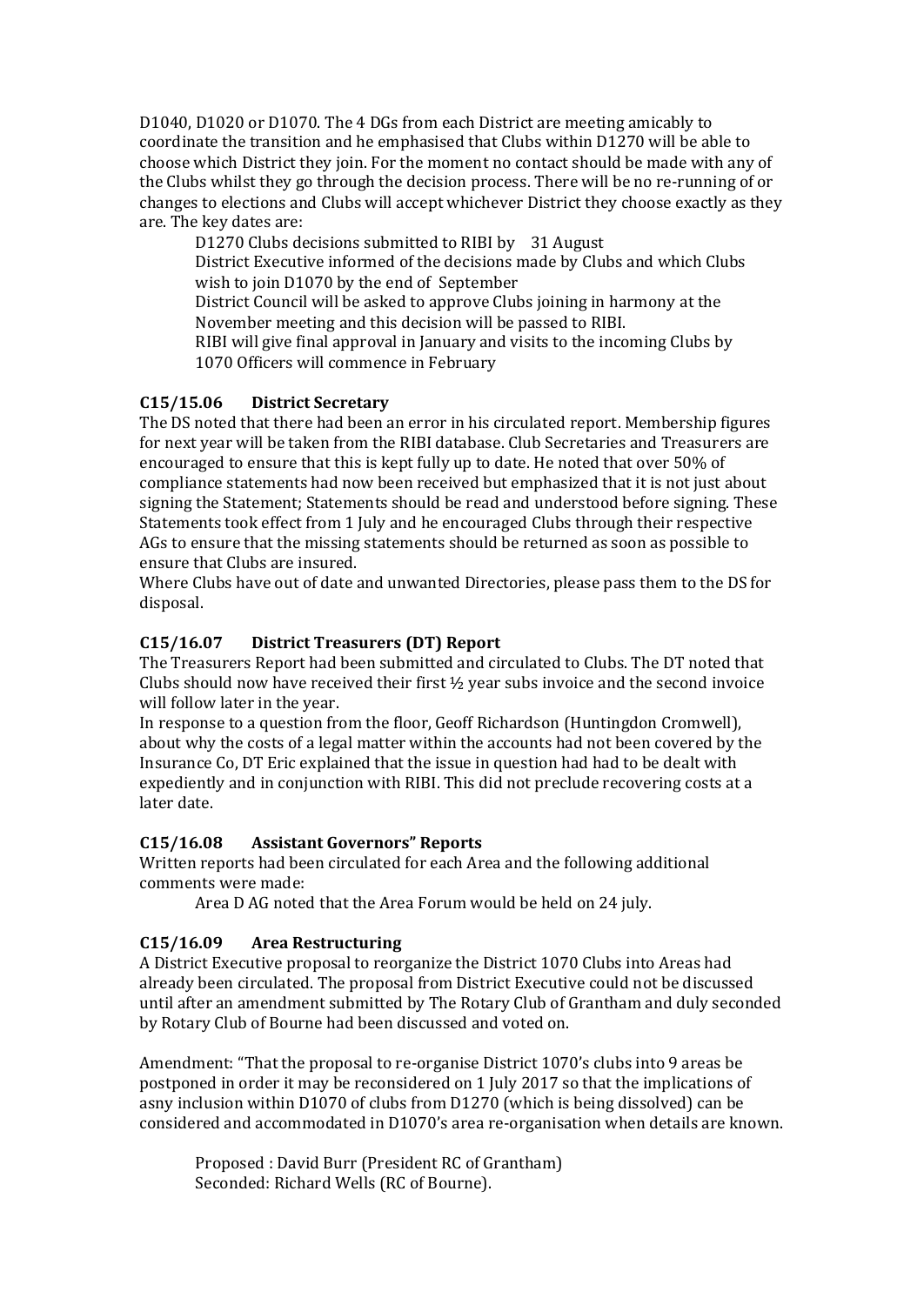D1040, D1020 or D1070. The 4 DGs from each District are meeting amicably to coordinate the transition and he emphasised that Clubs within D1270 will be able to choose which District they join. For the moment no contact should be made with any of the Clubs whilst they go through the decision process. There will be no re-running of or changes to elections and Clubs will accept whichever District they choose exactly as they are. The key dates are:

D1270 Clubs decisions submitted to RIBI by 31 August District Executive informed of the decisions made by Clubs and which Clubs wish to join D1070 by the end of September District Council will be asked to approve Clubs joining in harmony at the November meeting and this decision will be passed to RIBI. RIBI will give final approval in January and visits to the incoming Clubs by 1070 Officers will commence in February

#### **C15/15.06 District Secretary**

The DS noted that there had been an error in his circulated report. Membership figures for next year will be taken from the RIBI database. Club Secretaries and Treasurers are encouraged to ensure that this is kept fully up to date. He noted that over 50% of compliance statements had now been received but emphasized that it is not just about signing the Statement; Statements should be read and understood before signing. These Statements took effect from 1 July and he encouraged Clubs through their respective AGs to ensure that the missing statements should be returned as soon as possible to ensure that Clubs are insured.

Where Clubs have out of date and unwanted Directories, please pass them to the DS for disposal.

#### **C15/16.07 District Treasurers (DT) Report**

The Treasurers Report had been submitted and circulated to Clubs. The DT noted that Clubs should now have received their first  $\frac{1}{2}$  year subs invoice and the second invoice will follow later in the year.

In response to a question from the floor, Geoff Richardson (Huntingdon Cromwell), about why the costs of a legal matter within the accounts had not been covered by the Insurance Co, DT Eric explained that the issue in question had had to be dealt with expediently and in conjunction with RIBI. This did not preclude recovering costs at a later date.

#### **C15/16.08 Assistant Governors" Reports**

Written reports had been circulated for each Area and the following additional comments were made:

Area D AG noted that the Area Forum would be held on 24 july.

#### **C15/16.09 Area Restructuring**

A District Executive proposal to reorganize the District 1070 Clubs into Areas had already been circulated. The proposal from District Executive could not be discussed until after an amendment submitted by The Rotary Club of Grantham and duly seconded by Rotary Club of Bourne had been discussed and voted on.

Amendment: "That the proposal to re-organise District 1070's clubs into 9 areas be postponed in order it may be reconsidered on 1 July 2017 so that the implications of asny inclusion within D1070 of clubs from D1270 (which is being dissolved) can be considered and accommodated in D1070's area re-organisation when details are known.

Proposed : David Burr (President RC of Grantham) Seconded: Richard Wells (RC of Bourne).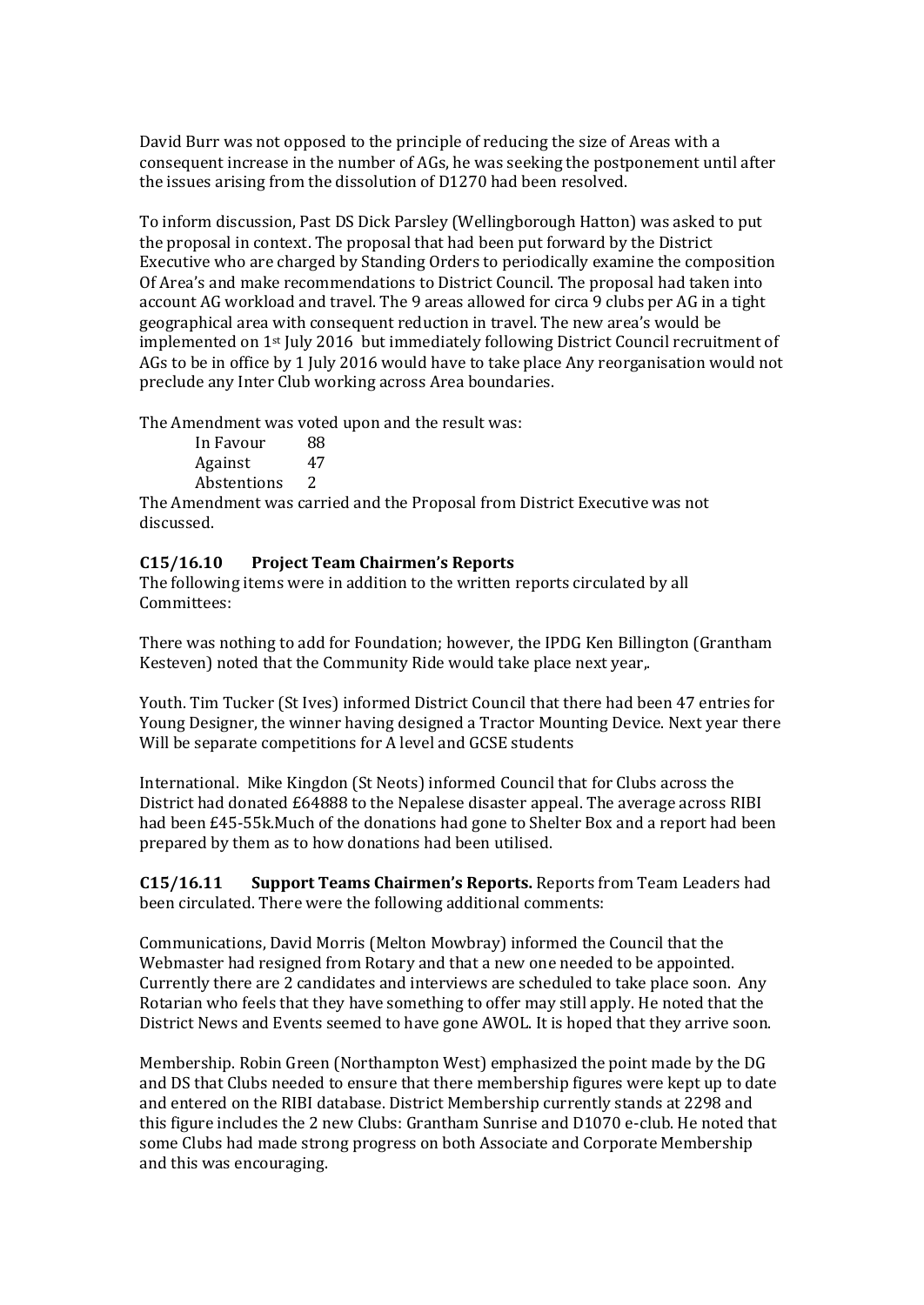David Burr was not opposed to the principle of reducing the size of Areas with a consequent increase in the number of AGs, he was seeking the postponement until after the issues arising from the dissolution of D1270 had been resolved.

To inform discussion, Past DS Dick Parsley (Wellingborough Hatton) was asked to put the proposal in context. The proposal that had been put forward by the District Executive who are charged by Standing Orders to periodically examine the composition Of Area's and make recommendations to District Council. The proposal had taken into account AG workload and travel. The 9 areas allowed for circa 9 clubs per AG in a tight geographical area with consequent reduction in travel. The new area's would be implemented on 1st July 2016 but immediately following District Council recruitment of AGs to be in office by 1 July 2016 would have to take place Any reorganisation would not preclude any Inter Club working across Area boundaries.

The Amendment was voted upon and the result was:

In Favour 88 Against 47 Abstentions 2

The Amendment was carried and the Proposal from District Executive was not discussed.

#### **C15/16.10 Project Team Chairmen's Reports**

The following items were in addition to the written reports circulated by all Committees:

There was nothing to add for Foundation; however, the IPDG Ken Billington (Grantham Kesteven) noted that the Community Ride would take place next year,.

Youth. Tim Tucker (St Ives) informed District Council that there had been 47 entries for Young Designer, the winner having designed a Tractor Mounting Device. Next year there Will be separate competitions for A level and GCSE students

International. Mike Kingdon (St Neots) informed Council that for Clubs across the District had donated £64888 to the Nepalese disaster appeal. The average across RIBI had been £45-55k.Much of the donations had gone to Shelter Box and a report had been prepared by them as to how donations had been utilised.

**C15/16.11 Support Teams Chairmen's Reports.** Reports from Team Leaders had been circulated. There were the following additional comments:

Communications, David Morris (Melton Mowbray) informed the Council that the Webmaster had resigned from Rotary and that a new one needed to be appointed. Currently there are 2 candidates and interviews are scheduled to take place soon. Any Rotarian who feels that they have something to offer may still apply. He noted that the District News and Events seemed to have gone AWOL. It is hoped that they arrive soon.

Membership. Robin Green (Northampton West) emphasized the point made by the DG and DS that Clubs needed to ensure that there membership figures were kept up to date and entered on the RIBI database. District Membership currently stands at 2298 and this figure includes the 2 new Clubs: Grantham Sunrise and D1070 e-club. He noted that some Clubs had made strong progress on both Associate and Corporate Membership and this was encouraging.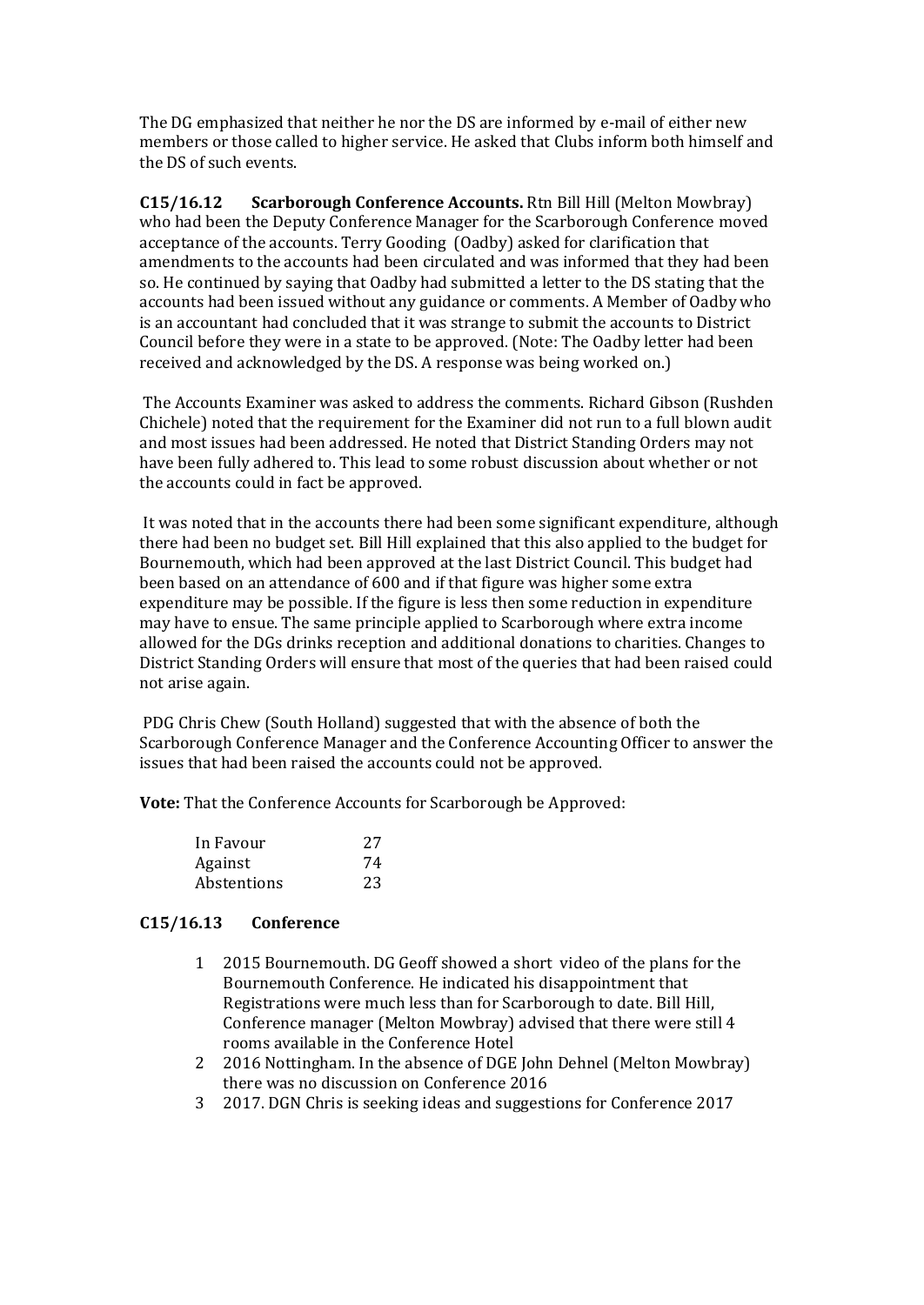The DG emphasized that neither he nor the DS are informed by e-mail of either new members or those called to higher service. He asked that Clubs inform both himself and the DS of such events.

**C15/16.12 Scarborough Conference Accounts.** Rtn Bill Hill (Melton Mowbray) who had been the Deputy Conference Manager for the Scarborough Conference moved acceptance of the accounts. Terry Gooding (Oadby) asked for clarification that amendments to the accounts had been circulated and was informed that they had been so. He continued by saying that Oadby had submitted a letter to the DS stating that the accounts had been issued without any guidance or comments. A Member of Oadby who is an accountant had concluded that it was strange to submit the accounts to District Council before they were in a state to be approved. (Note: The Oadby letter had been received and acknowledged by the DS. A response was being worked on.)

The Accounts Examiner was asked to address the comments. Richard Gibson (Rushden Chichele) noted that the requirement for the Examiner did not run to a full blown audit and most issues had been addressed. He noted that District Standing Orders may not have been fully adhered to. This lead to some robust discussion about whether or not the accounts could in fact be approved.

It was noted that in the accounts there had been some significant expenditure, although there had been no budget set. Bill Hill explained that this also applied to the budget for Bournemouth, which had been approved at the last District Council. This budget had been based on an attendance of 600 and if that figure was higher some extra expenditure may be possible. If the figure is less then some reduction in expenditure may have to ensue. The same principle applied to Scarborough where extra income allowed for the DGs drinks reception and additional donations to charities. Changes to District Standing Orders will ensure that most of the queries that had been raised could not arise again.

PDG Chris Chew (South Holland) suggested that with the absence of both the Scarborough Conference Manager and the Conference Accounting Officer to answer the issues that had been raised the accounts could not be approved.

**Vote:** That the Conference Accounts for Scarborough be Approved:

| In Favour   | 27 |
|-------------|----|
| Against     | 74 |
| Abstentions | 23 |

#### **C15/16.13 Conference**

- 1 2015 Bournemouth. DG Geoff showed a short video of the plans for the Bournemouth Conference. He indicated his disappointment that Registrations were much less than for Scarborough to date. Bill Hill, Conference manager (Melton Mowbray) advised that there were still 4 rooms available in the Conference Hotel
- 2 2016 Nottingham. In the absence of DGE John Dehnel (Melton Mowbray) there was no discussion on Conference 2016
- 3 2017. DGN Chris is seeking ideas and suggestions for Conference 2017